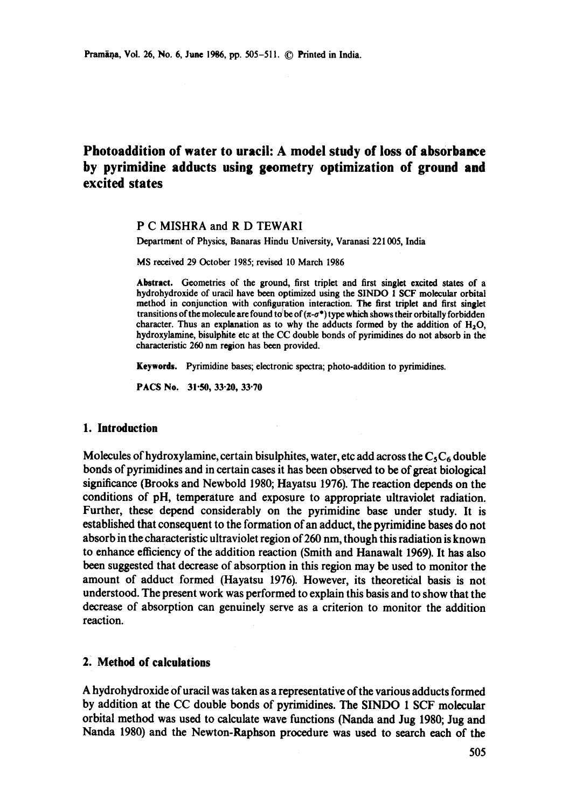# **Photoaddition of water to uracil: A model study of loss of absorbance by pyrimidine adducts using geometry optimization of ground and excited states**

## P C MISHRA and R D TEWARI

Department of Physics, Banaras Hindu University, Varanasi 221005, India

MS received 29 October 1985; revised 10 March 1986

Abstract. Geometries of the ground, first triplet and first singlet excited states of a hydrohydroxide of uracil have been optimized using the SINDO 1 SCF molecular orbital method in conjunction with configuration interaction. The first triplet and first singlet transitions of the molecule are found to be of  $(\pi-\sigma^*)$  type which shows their orbitally forbidden character. Thus an explanation as to why the adducts formed by the addition of  $H_2O$ , hydroxylamine, bisulphite etc at the CC double bonds of pyrimidines do not absorb in the characteristic 260 nm region has been provided.

Keywords. Pyrimidine bases; electronic spectra; photo-addition to pyrimidines.

PACS No. 31.50, 33.20, 33.70

#### **1. Introduction**

Molecules of hydroxylamine, certain bisulphites, water, etc add across the  $C_5C_6$  double bonds of pyrimidines and in certain cases it has been observed to be of great biological significance (Brooks and Newbold 1980; Hayatsu 1976). The reaction depends on the conditions of pH, temperature and exposure to appropriate ultraviolet radiation. Further, these depend considerably on the pyrimidine base under study. It is established that consequent to the formation of an adduct, the pyrimidine bases do not absorb in the characteristic ultraviolet region of 260 nm, though this radiation is known to enhance efficiency of the addition reaction (Smith and Hanawalt 1969). It has also been suggested that decrease of absorption in this region may be used to monitor the amount of adduct formed (Hayatsu 1976). However, its theoretical basis is not understood. The present work was performed to explain this basis and to show that the decrease of absorption can genuinely serve as a criterion to monitor the addition reaction.

## **2. Method of calculations**

A hydrohydroxide of uracil was taken as a representative of the various adducts formed by addition at the CC double bonds of pyrimidines. The SINDO 1 SCF molecular orbital method was used to calculate wave functions (Nanda and Jug 1980; Jug and Nanda 1980) and the Newton-Raphson procedure was used to search each of the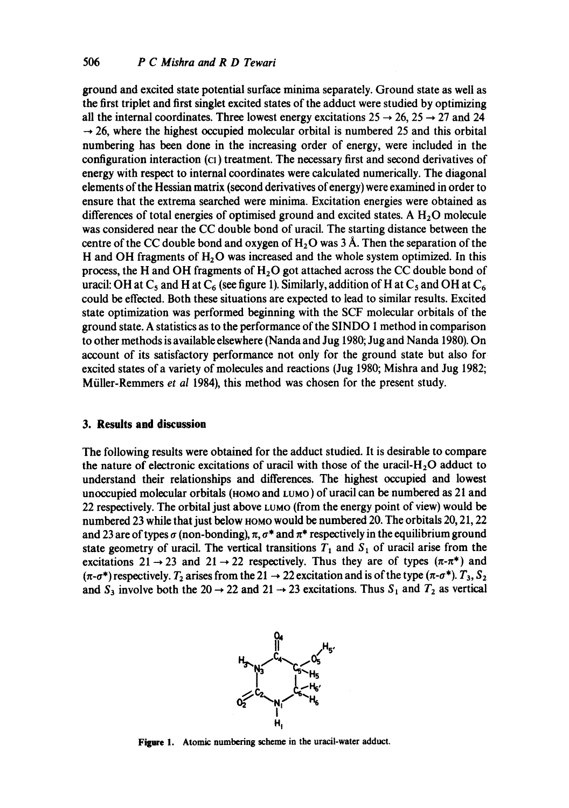ground and excited state potential surface minima separately. Ground state as well as the first triplet and first singlet excited states of the adduct were studied by optimizing all the internal coordinates. Three lowest energy excitations  $25 \rightarrow 26$ ,  $25 \rightarrow 27$  and 24  $\rightarrow$  26, where the highest occupied molecular orbital is numbered 25 and this orbital numbering has been done in the increasing order of energy, were included in the configuration interaction (ci) treatment. The necessary first and second derivatives of energy with respect to internal coordinates were calculated numerically. The diagonal elements of the Hessian matrix (second derivatives of energy) were examined in order to ensure that the extrema searched were minima. Excitation energies were obtained as differences of total energies of optimised ground and excited states. A  $H<sub>2</sub>O$  molecule was considered near the CC double bond of uracil. The starting distance between the centre of the CC double bond and oxygen of  $H<sub>2</sub>O$  was 3 Å. Then the separation of the H and OH fragments of  $H_2O$  was increased and the whole system optimized. In this process, the H and OH fragments of  $H_2O$  got attached across the CC double bond of uracil: OH at  $C_5$  and H at  $C_6$  (see figure 1). Similarly, addition of H at  $C_5$  and OH at  $C_6$ could be effected. Both these situations are expected to lead to similar results. Excited state optimization was performed beginning with the SCF molecular orbitals of the ground state. A statistics as to the performance of the SINDO 1 method in comparison to other methods is available elsewhere (Nanda and Jug 1980; Jug and Nanda 1980). On account of its satisfactory performance not only for the ground state but also for excited states of a variety of molecules and reactions (Jug 1980; Mishra and Jug 1982; Müller-Remmers *et al 1984*), this method was chosen for the present study.

#### **3. Results and discussion**

The following results were obtained for the adduct studied. It is desirable to compare the nature of electronic excitations of uracil with those of the uracil- $H_2O$  adduct to understand their relationships and differences. The highest occupied and lowest unoccupied molecular orbitals (HOMO and LUMO) of uracil can be numbered as 21 and 22 respectively. The orbital just above LUMO (from the energy point of view) would be numbered 23 while that just below HOMO would be numbered 20. The orbitals 20, 21, 22 and 23 are of types  $\sigma$  (non-bonding),  $\pi$ ,  $\sigma^*$  and  $\pi^*$  respectively in the equilibrium ground state geometry of uracil. The vertical transitions  $T_1$  and  $S_1$  of uracil arise from the excitations  $21 \rightarrow 23$  and  $21 \rightarrow 22$  respectively. Thus they are of types  $(\pi \cdot \pi^*)$  and  $(\pi-\sigma^*)$  respectively.  $T_2$  arises from the 21  $\rightarrow$  22 excitation and is of the type  $(\pi-\sigma^*)$ .  $T_3$ ,  $S_2$ and  $S_3$  involve both the 20  $\rightarrow$  22 and 21  $\rightarrow$  23 excitations. Thus  $S_1$  and  $T_2$  as vertical



Figure 1. Atomic numbering scheme in the uracil-water adduct.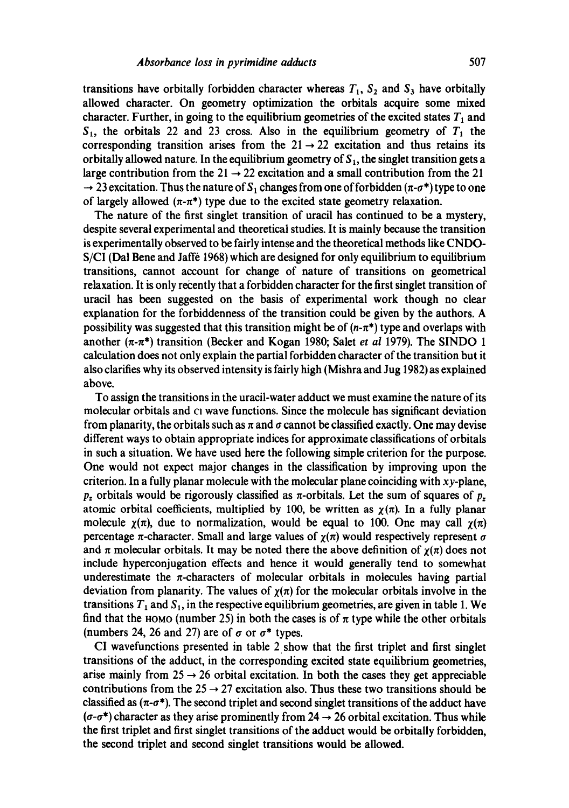transitions have orbitally forbidden character whereas  $T_1$ ,  $S_2$  and  $S_3$  have orbitally allowed character. On geometry optimization the orbitals acquire some mixed character. Further, in going to the equilibrium geometries of the excited states  $T_1$  and  $S_1$ , the orbitals 22 and 23 cross. Also in the equilibrium geometry of  $T_1$  the corresponding transition arises from the  $21 \rightarrow 22$  excitation and thus retains its orbitally allowed nature. In the equilibrium geometry of  $S<sub>1</sub>$ , the singlet transition gets a large contribution from the  $21 \rightarrow 22$  excitation and a small contribution from the 21  $\rightarrow$  23 excitation. Thus the nature of S<sub>1</sub> changes from one of forbidden ( $\pi$ - $\sigma^*$ ) type to one of largely allowed  $(n-\pi^*)$  type due to the excited state geometry relaxation.

The nature of the first singlet transition of uracil has continued to be a mystery, despite several experimental and theoretical studies. It is mainly because the transition is experimentally observed to be fairly intense and the theoretical methods like CNDO-S/CI (Dal Bene and Jaffé 1968) which are designed for only equilibrium to equilibrium transitions, cannot account for change of nature of transitions on geometrical relaxation. It is only recently that a forbidden character for the first singlet transition of uracil has been suggested on the basis of experimental work though no clear explanation for the forbiddenness of the transition could be given by the authors. A possibility was suggested that this transition might be of  $(n-\pi^*)$  type and overlaps with another  $(\pi-\pi^*)$  transition (Becker and Kogan 1980; Salet *et al* 1979). The SINDO 1 calculation does not only explain the partial forbidden character of the transition but it also clarifies why its observed intensity is fairly high (Mishra and Jug 1982) as explained above.

To assign the transitions in the uracil-water adduct we must examine the nature of its molecular orbitals and cI wave functions. Since the molecule has significant deviation from planarity, the orbitals such as  $\pi$  and  $\sigma$  cannot be classified exactly. One may devise different ways to obtain appropriate indices for approximate classifications of orbitals in such a situation. We have used here the following simple criterion for the purpose. One would not expect major changes in the classification by improving upon the criterion. In a fully planar molecule with the molecular plane coinciding with  $xy$ -plane,  $p<sub>z</sub>$  orbitals would be rigorously classified as  $\pi$ -orbitals. Let the sum of squares of  $p<sub>z</sub>$ atomic orbital coefficients, multiplied by 100, be written as  $\chi(\pi)$ . In a fully planar molecule  $\gamma(\pi)$ , due to normalization, would be equal to 100. One may call  $\gamma(\pi)$ percentage  $\pi$ -character. Small and large values of  $\gamma(\pi)$  would respectively represent  $\sigma$ and  $\pi$  molecular orbitals. It may be noted there the above definition of  $\chi(\pi)$  does not include hyperconjugation effects and hence it would generally tend to somewhat underestimate the  $\pi$ -characters of molecular orbitals in molecules having partial deviation from planarity. The values of  $\chi(\pi)$  for the molecular orbitals involve in the transitions  $T_1$  and  $S_1$ , in the respective equilibrium geometries, are given in table 1. We find that the HOMO (number 25) in both the cases is of  $\pi$  type while the other orbitals (numbers 24, 26 and 27) are of  $\sigma$  or  $\sigma^*$  types.

CI wavefunctions presented in table 2 show that the first triplet and first singlet transitions of the adduct, in the corresponding excited state equilibrium geometries, arise mainly from  $25 \rightarrow 26$  orbital excitation. In both the cases they get appreciable contributions from the  $25 \rightarrow 27$  excitation also. Thus these two transitions should be classified as  $(\pi - \sigma^*)$ . The second triplet and second singlet transitions of the adduct have  $(\sigma$ - $\sigma^*$ ) character as they arise prominently from 24  $\rightarrow$  26 orbital excitation. Thus while the first triplet and first singlet transitions of the adduct would be orbitally forbidden, the second triplet and second singlet transitions would be allowed.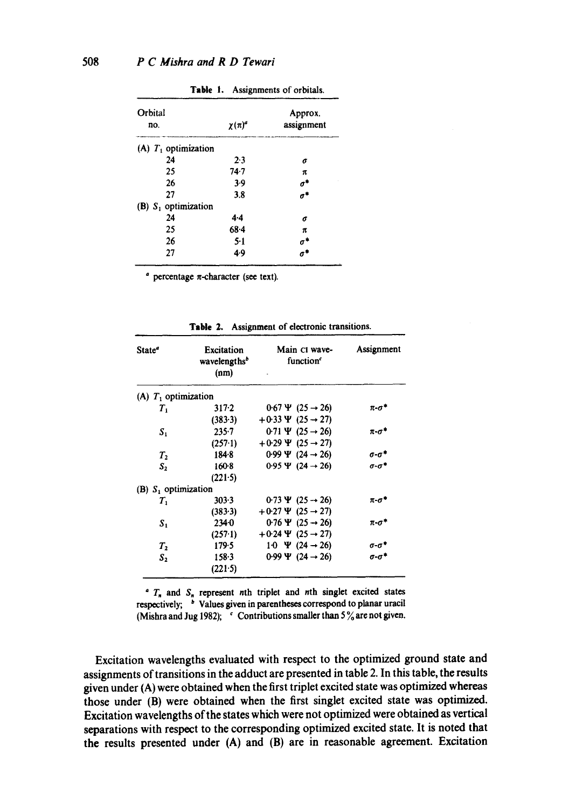| Orbital<br>no.         | $\chi(\pi)^d$ | Approx.<br>assignment |
|------------------------|---------------|-----------------------|
| (A) $T_1$ optimization |               |                       |
| 24                     | 2.3           | б                     |
| 25                     | 74.7          | π                     |
| 26                     | 3.9           | $\sigma^*$            |
| 27                     | 3.8           | $\sigma^*$            |
| (B) $S_1$ optimization |               |                       |
| 24                     | 4.4           | б                     |
| 25                     | 68.4          | π                     |
| 26                     | $5-1$         | σ'                    |
| 27                     | 4.9           |                       |

Table I. Assignments of orbitals.

 $\alpha$  percentage  $\pi$ -character (see text).

| State <sup>®</sup>                | <b>Excitation</b><br>wavelengths <sup>b</sup><br>(nm) | Main CI wave-<br>function <sup>c</sup> | Assignment            |
|-----------------------------------|-------------------------------------------------------|----------------------------------------|-----------------------|
| (A) $T_1$ optimization            |                                                       |                                        |                       |
| т.                                | 317.2                                                 | $0.67 \Psi (25 \rightarrow 26)$        | $\pi$ - $\sigma$ *    |
|                                   | (383.3)                                               | $+0.33 \Psi (25 \rightarrow 27)$       |                       |
| $S_1$                             | $235 - 7$                                             | 0.71 $\Psi$ (25 $\rightarrow$ 26)      | $\pi$ - $\sigma^*$    |
|                                   | $(257-1)$                                             | $+0.29$ $\Psi$ (25 $\rightarrow$ 27)   |                       |
| $T_{2}$                           | 184.8                                                 | 0.99 $\Psi$ (24 $\rightarrow$ 26)      | $\sigma$ - $\sigma^*$ |
| S <sub>2</sub>                    | $160-8$                                               | 0.95 $\Psi$ (24 $\rightarrow$ 26)      | $\sigma$ - $\sigma^*$ |
|                                   | (221.5)                                               |                                        |                       |
| $(B)$ S <sub>1</sub> optimization |                                                       |                                        |                       |
| $T_{1}$                           | 303.3                                                 | 0.73 $\Psi$ (25 $\rightarrow$ 26)      | π-σ*                  |
|                                   | (383.3)                                               | $+0.27$ $\Psi$ (25 $\rightarrow$ 27)   |                       |
| $S_{1}$                           | 2340                                                  | $0.76 \Psi (25 \rightarrow 26)$        | $\pi$ - $\sigma^*$    |
|                                   | (257.1)                                               | $+0.24 \Psi (25 \rightarrow 27)$       |                       |
| $T_{2}$                           | 179.5                                                 | 1.0 $\Psi$ (24 $\rightarrow$ 26)       | $\sigma$ - $\sigma^*$ |
| S <sub>2</sub>                    | 158.3                                                 | 0.99 $\Psi$ (24 $\rightarrow$ 26)      | a-a*                  |
|                                   | (221.5)                                               |                                        |                       |

**Table** 2. Assignment of electronic transitions.

 $T_n$  and  $S_n$  represent nth triplet and nth singlet excited states respectively; <sup>b</sup> Values given in parentheses correspond to planar uracil (Mishra and Jug 1982);  $\cdot$  Contributions smaller than 5% are not given.

Excitation wavelengths evaluated with respect to the optimized ground state and assignments of transitions in the adduct are presented in table 2. In this table, the results given under (A) were obtained when the first triplet excited state was optimized whereas those under (B) were obtained when the first singlet excited state was optimized. Excitation wavelengths of the states which were not optimized were obtained as vertical separations with respect to the corresponding optimized excited state. It is noted that the results presented under (A) and (B) are in reasonable agreement. Excitation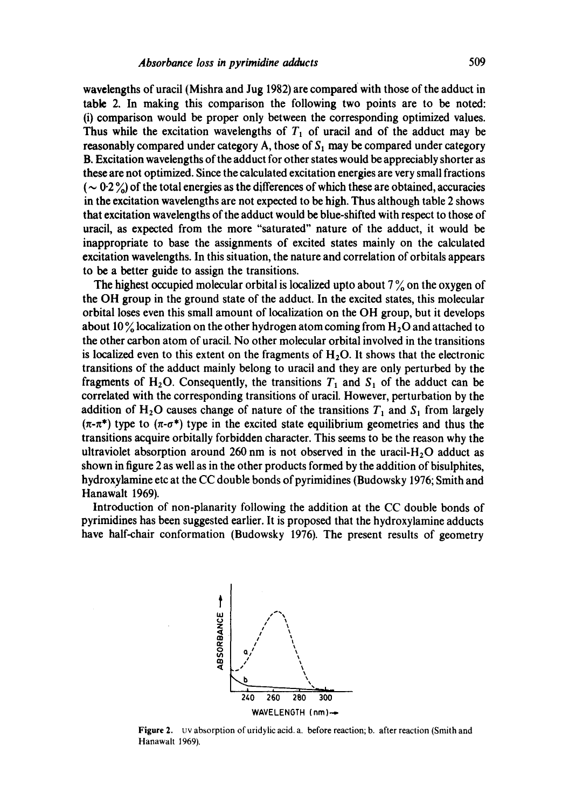wavelengths of uracil (Mishra and Jug 1982) are compared with those of the adduct in table 2. In making this comparison the following two points are to be noted: (i) comparison would be proper only between the corresponding optimized values. Thus while the excitation wavelengths of  $T_1$  of uracil and of the adduct may be reasonably compared under category A, those of  $S_1$  may be compared under category B. Excitation wavelengths of the adduct for other states would be appreciably shorter as these are not optimized. Since the calculated excitation energies are very small fractions ( $\sim 0.2$ %) of the total energies as the differences of which these are obtained, accuracies in the excitation wavelengths are not expected to be high. Thus although table 2 shows that excitation wavelengths of the adduct would be blue-shifted with respect to those of uracil, as expected from the more "saturated" nature of the adduct, it would be inappropriate to base the assignments of excited states mainly on the calculated excitation wavelengths. In this situation, the nature and correlation of orbitals appears to be a better guide to assign the transitions.

The highest occupied molecular orbital is localized upto about  $7\%$  on the oxygen of the OH group in the ground state of the adduct. In the excited states, this molecular orbital loses even this small amount of localization on the OH group, but it develops about 10 % localization on the other hydrogen atom coming from  $H<sub>2</sub>O$  and attached to the other carbon atom of uracil. No other molecular orbital involved in the transitions is localized even to this extent on the fragments of  $H_2O$ . It shows that the electronic transitions of the adduct mainly belong to uracil and they are only perturbed by the fragments of H<sub>2</sub>O. Consequently, the transitions  $T_1$  and  $S_1$  of the adduct can be correlated with the corresponding transitions of uracil. However, perturbation by the addition of H<sub>2</sub>O causes change of nature of the transitions  $T_1$  and  $S_1$  from largely  $(\pi-\pi^*)$  type to  $(\pi-\sigma^*)$  type in the excited state equilibrium geometries and thus the transitions acquire orbitally forbidden character. This seems to be the reason why the ultraviolet absorption around 260 nm is not observed in the uracil- $H<sub>2</sub>O$  adduct as shown in figure 2 as well as in the other products formed by the addition of bisulphites, hydroxylamine etc at the CC double bonds of pyrimidines (Budowsky 1976; Smith and Hanawalt 1969).

Introduction of non-planarity following the addition at the CC double bonds of pyrimidines has been suggested earlier. It is proposed that the hydroxylamine adducts have half-chair conformation (Budowsky 1976). The present results of geometry



Figure 2. uv absorption of uridylic acid. a. before reaction; b, after reaction (Smith and Hanawalt 1969).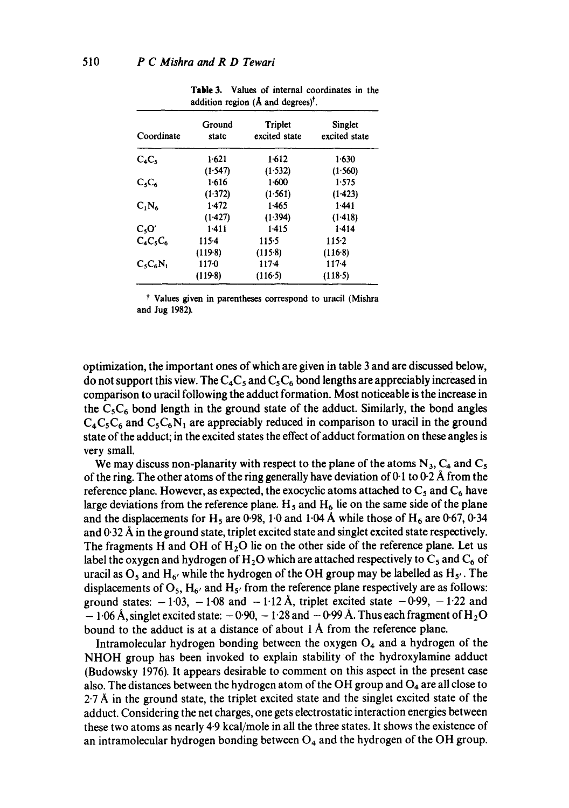| Coordinate  | Ground<br>state | Triplet<br>excited state | Singlet<br>excited state |
|-------------|-----------------|--------------------------|--------------------------|
| $C_4C_5$    | 1.621           | 1.612                    | 1.630                    |
|             | (1.547)         | (1.532)                  | (1.560)                  |
| $C_5C_6$    | 1.616           | 1.600                    | 1.575                    |
|             | (1.372)         | (1.561)                  | (1.423)                  |
| $C_1N_6$    | 1.472           | 1.465                    | $1-441$                  |
|             | (1.427)         | (1.394)                  | (1.418)                  |
| $C_5O'$     | 1.411           | 1.415                    | 1.414                    |
| $C_4C_5C_6$ | 115.4           | 115.5                    | 115-2                    |
|             | $(119-8)$       | $(115-8)$                | (116.8)                  |
| $C_5C_6N_1$ | 1170            | $117-4$                  | 1174                     |
|             | $(119-8)$       | $(116-5)$                | (118.5)                  |

**Table** 3. Values of internal coordinates in the addition region (**Å** and degrees)<sup>†</sup>.

\* Values given in parentheses correspond to uracil (Mishra and Jug 1982).

optimization, the important ones of which are given in table 3 and are discussed below, do not support this view. The  $C_4C_5$  and  $C_5C_6$  bond lengths are appreciably increased in comparison to uracil following the adduct formation. Most noticeable is the increase in the  $C_5C_6$  bond length in the ground state of the adduct. Similarly, the bond angles  $C_4C_5C_6$  and  $C_5C_6N_1$  are appreciably reduced in comparison to uracil in the ground state of the adduct; in the excited states the effect of adduct formation on these angles is very small.

We may discuss non-planarity with respect to the plane of the atoms  $N_3$ ,  $C_4$  and  $C_5$ of the ring. The other atoms of the ring generally have deviation of 0-1 to 0-2 Å from the reference plane. However, as expected, the exocyclic atoms attached to  $C_5$  and  $C_6$  have large deviations from the reference plane.  $H_5$  and  $H_6$  lie on the same side of the plane and the displacements for H<sub>5</sub> are 0.98, 1.0 and 1.04 Å while those of H<sub>6</sub> are 0.67, 0.34 and  $0.32 \text{ Å}$  in the ground state, triplet excited state and singlet excited state respectively. The fragments H and OH of  $H_2O$  lie on the other side of the reference plane. Let us label the oxygen and hydrogen of  $H_2O$  which are attached respectively to  $C_5$  and  $C_6$  of uracil as  $O_5$  and H<sub>6</sub>, while the hydrogen of the OH group may be labelled as H<sub>5</sub>. The displacements of  $O_5$ ,  $H_6$  and  $H_5$  from the reference plane respectively are as follows: ground states:  $-1.03$ ,  $-1.08$  and  $-1.12$  Å, triplet excited state  $-0.99$ ,  $-1.22$  and  $-$  1.06 Å, singlet excited state:  $-$  0.90,  $-$  1.28 and  $-$  0.99 Å. Thus each fragment of H<sub>2</sub>O bound to the adduct is at a distance of about  $1 \text{ Å}$  from the reference plane.

Intramolecular hydrogen bonding between the oxygen  $O<sub>4</sub>$  and a hydrogen of the NHOH group has been invoked to explain stability of the hydroxylamine adduct (Budowsky 1976). It appears desirable to comment on this aspect in the present case also. The distances between the hydrogen atom of the OH group and  $O_4$  are all close to  $2.7 \text{ Å}$  in the ground state, the triplet excited state and the singlet excited state of the adduct. Considering the net charges, one gets electrostatic interaction energies between these two atoms as nearly 4.9 kcal/mole in all the three states. It shows the existence of an intramolecular hydrogen bonding between  $O<sub>4</sub>$  and the hydrogen of the OH group.